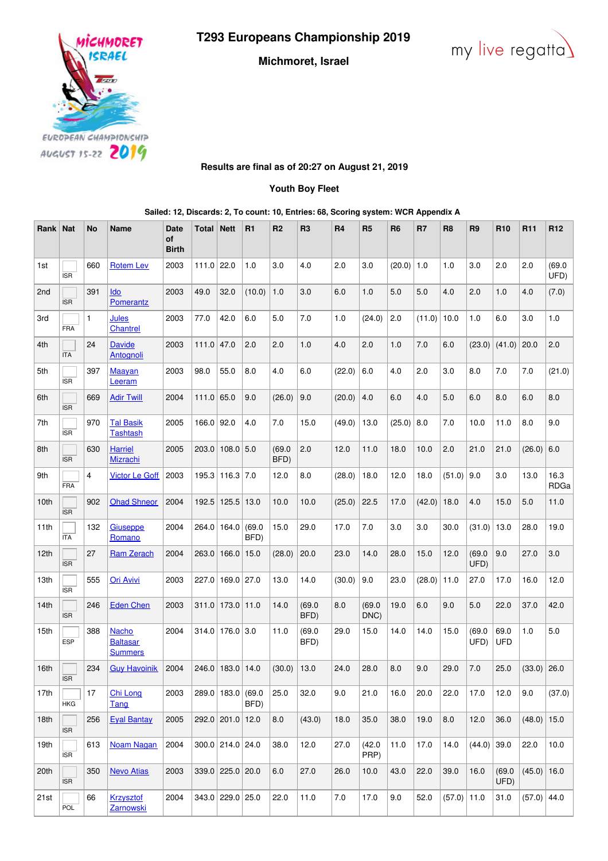**T293 Europeans Championship 2019**





**Michmoret, Israel**

## **Results are final as of 20:27 on August 21, 2019**

**Youth Boy Fleet**

**Sailed: 12, Discards: 2, To count: 10, Entries: 68, Scoring system: WCR Appendix A**

| Rank            | <b>Nat</b> | <b>No</b>    | <b>Name</b>                                       | <b>Date</b><br>of<br><b>Birth</b> | Total ∣      | <b>Nett</b>       | R1             | R <sub>2</sub> | R <sub>3</sub> | <b>R4</b> | R <sub>5</sub> | R <sub>6</sub> | R7     | R <sub>8</sub> | R <sub>9</sub> | R <sub>10</sub>    | R <sub>11</sub> | R <sub>12</sub> |
|-----------------|------------|--------------|---------------------------------------------------|-----------------------------------|--------------|-------------------|----------------|----------------|----------------|-----------|----------------|----------------|--------|----------------|----------------|--------------------|-----------------|-----------------|
| 1st             | <b>ISR</b> | 660          | <b>Rotem Lev</b>                                  | 2003                              | $111.0$ 22.0 |                   | 1.0            | 3.0            | 4.0            | 2.0       | 3.0            | (20.0)         | 1.0    | 1.0            | 3.0            | 2.0                | 2.0             | (69.0)<br>UFD)  |
| 2 <sub>nd</sub> | <b>ISR</b> | 391          | Ido<br>Pomerantz                                  | 2003                              | 49.0         | 32.0              | (10.0)         | 1.0            | 3.0            | 6.0       | 1.0            | $5.0$          | 5.0    | 4.0            | 2.0            | 1.0                | 4.0             | (7.0)           |
| 3rd             | FRA        | $\mathbf{1}$ | Jules<br><b>Chantrel</b>                          | 2003                              | 77.0         | 42.0              | $6.0\,$        | 5.0            | 7.0            | 1.0       | (24.0)         | 2.0            | (11.0) | 10.0           | 1.0            | 6.0                | 3.0             | $1.0$           |
| 4th             | <b>ITA</b> | 24           | <b>Davide</b><br>Antognoli                        | 2003                              | $111.0$ 47.0 |                   | 2.0            | 2.0            | 1.0            | 4.0       | 2.0            | 1.0            | 7.0    | 6.0            | (23.0)         | (41.0)             | 20.0            | 2.0             |
| 5th             | <b>ISR</b> | 397          | <b>Maayan</b><br>Leeram                           | 2003                              | 98.0         | 55.0              | 8.0            | 4.0            | 6.0            | (22.0)    | 6.0            | 4.0            | 2.0    | 3.0            | 8.0            | 7.0                | 7.0             | (21.0)          |
| 6th             | <b>ISR</b> | 669          | <b>Adir Twill</b>                                 | 2004                              | 111.0 65.0   |                   | 9.0            | (26.0)         | 9.0            | (20.0)    | 4.0            | 6.0            | 4.0    | 5.0            | 6.0            | 8.0                | 6.0             | 8.0             |
| 7th             | <b>ISR</b> | 970          | <b>Tal Basik</b><br><b>Tashtash</b>               | 2005                              | $166.0$ 92.0 |                   | 4.0            | 7.0            | 15.0           | (49.0)    | 13.0           | (25.0)         | 8.0    | 7.0            | 10.0           | 11.0               | 8.0             | 9.0             |
| 8th             | <b>ISR</b> | 630          | <b>Harriel</b><br><b>Mizrachi</b>                 | 2005                              | 203.0        | $108.0$ 5.0       |                | (69.0)<br>BFD) | 2.0            | 12.0      | 11.0           | 18.0           | 10.0   | 2.0            | 21.0           | 21.0               | (26.0)          | $6.0\,$         |
| 9th             | <b>FRA</b> | 4            | <b>Victor Le Goff</b>                             | 2003                              |              | 195.3 116.3 7.0   |                | 12.0           | 8.0            | (28.0)    | 18.0           | 12.0           | 18.0   | (51.0)         | 9.0            | 3.0                | 13.0            | 16.3<br>RDGa    |
| 10th            | <b>ISR</b> | 902          | <b>Ohad Shneor</b>                                | 2004                              | 192.5        | 125.5             | 13.0           | 10.0           | 10.0           | (25.0)    | 22.5           | 17.0           | (42.0) | 18.0           | 4.0            | 15.0               | 5.0             | 11.0            |
| 11th            | <b>ITA</b> | 132          | Giuseppe<br>Romano                                | 2004                              | 264.0        | 164.0             | (69.0)<br>BFD) | 15.0           | 29.0           | 17.0      | 7.0            | 3.0            | 3.0    | 30.0           | (31.0)         | 13.0               | 28.0            | 19.0            |
| 12th            | <b>ISR</b> | 27           | <b>Ram Zerach</b>                                 | 2004                              | 263.0        | 166.0             | 15.0           | (28.0)         | 20.0           | 23.0      | 14.0           | 28.0           | 15.0   | 12.0           | (69.0)<br>UFD) | 9.0                | 27.0            | 3.0             |
| 13th            | <b>ISR</b> | 555          | <b>Ori Avivi</b>                                  | 2003                              |              | 227.0 169.0 27.0  |                | 13.0           | 14.0           | (30.0)    | 9.0            | 23.0           | (28.0) | 11.0           | 27.0           | 17.0               | 16.0            | 12.0            |
| 14th            | <b>ISR</b> | 246          | <b>Eden Chen</b>                                  | 2003                              | 311.0        | 173.0             | 11.0           | 14.0           | (69.0)<br>BFD) | 8.0       | (69.0)<br>DNC) | 19.0           | 6.0    | 9.0            | 5.0            | 22.0               | 37.0            | 42.0            |
| 15th            | <b>ESP</b> | 388          | <b>Nacho</b><br><b>Baltasar</b><br><b>Summers</b> | 2004                              |              | $314.0$ 176.0 3.0 |                | 11.0           | (69.0)<br>BFD) | 29.0      | 15.0           | 14.0           | 14.0   | 15.0           | (69.0)<br>UFD) | 69.0<br><b>UFD</b> | 1.0             | 5.0             |
| 16th            | <b>ISR</b> | 234          | <b>Guy Havoinik</b>                               | 2004                              |              | 246.0 183.0 14.0  |                | (30.0)         | 13.0           | 24.0      | 28.0           | 8.0            | 9.0    | 29.0           | 7.0            | 25.0               | $(33.0)$ 26.0   |                 |
| 17th            | <b>HKG</b> | 17           | Chi Long<br>Tang                                  | 2003                              |              | 289.0   183.0     | (69.0)<br>BFD) | 25.0           | 32.0           | 9.0       | 21.0           | 16.0           | 20.0   | 22.0           | 17.0           | 12.0               | 9.0             | (37.0)          |
| 18th            | <b>ISR</b> | 256          | <b>Eyal Bantay</b>                                | 2005                              |              | 292.0 201.0 12.0  |                | 8.0            | (43.0)         | 18.0      | 35.0           | 38.0           | 19.0   | 8.0            | 12.0           | 36.0               | $(48.0)$ 15.0   |                 |
| 19th            | <b>ISR</b> | 613          | <b>Noam Nagan</b>                                 | 2004                              |              | 300.0 214.0 24.0  |                | 38.0           | 12.0           | 27.0      | (42.0)<br>PRP) | 11.0           | 17.0   | 14.0           | $(44.0)$ 39.0  |                    | 22.0            | 10.0            |
| 20th            | <b>ISR</b> | 350          | <b>Nevo Atias</b>                                 | 2003                              |              | 339.0 225.0 20.0  |                | 6.0            | 27.0           | 26.0      | 10.0           | 43.0           | 22.0   | 39.0           | 16.0           | (69.0)<br>UFD)     | (45.0)          | 16.0            |
| 21st            | POL        | 66           | <b>Krzysztof</b><br>Zarnowski                     | 2004                              |              | 343.0 229.0 25.0  |                | 22.0           | 11.0           | 7.0       | 17.0           | 9.0            | 52.0   | $(57.0)$ 11.0  |                | 31.0               | $(57.0)$ 44.0   |                 |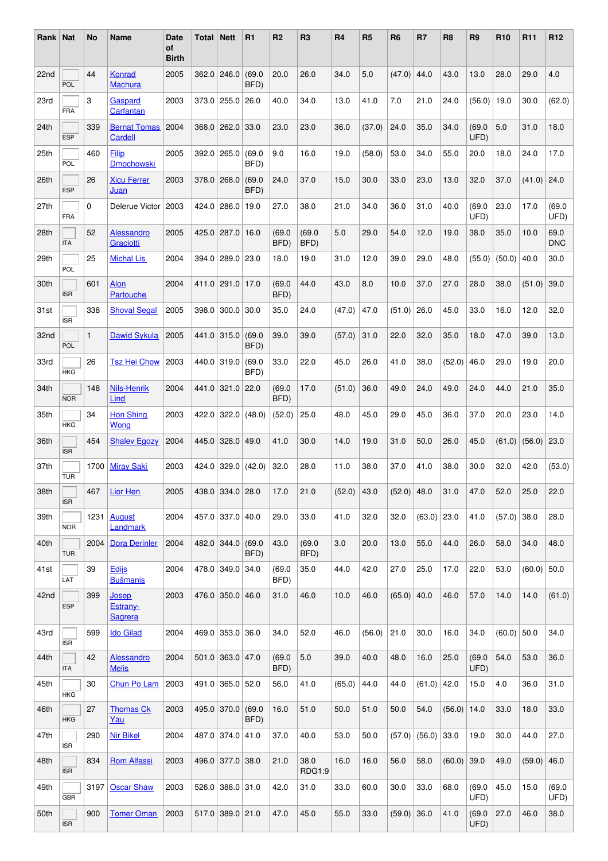| Rank   Nat |                      | No           | Name                                | <b>Date</b><br>οf<br><b>Birth</b> | Total | <b>Nett</b>        | R1             | R <sub>2</sub> | R <sub>3</sub>        | R <sub>4</sub> | R <sub>5</sub> | R <sub>6</sub> | R7     | R <sub>8</sub> | R <sub>9</sub> | <b>R10</b>          | R <sub>11</sub> | R <sub>12</sub>    |
|------------|----------------------|--------------|-------------------------------------|-----------------------------------|-------|--------------------|----------------|----------------|-----------------------|----------------|----------------|----------------|--------|----------------|----------------|---------------------|-----------------|--------------------|
| 22nd       | POL                  | 44           | Konrad<br><b>Machura</b>            | 2005                              | 362.0 | 246.0              | (69.0)<br>BFD) | 20.0           | 26.0                  | 34.0           | 5.0            | (47.0)         | 44.0   | 43.0           | 13.0           | 28.0                | 29.0            | 4.0                |
| 23rd       | <b>FRA</b>           | 3            | Gaspard<br>Carfantan                | 2003                              | 373.0 | 255.0              | 26.0           | 40.0           | 34.0                  | 13.0           | 41.0           | 7.0            | 21.0   | 24.0           | (56.0)         | 19.0                | 30.0            | (62.0)             |
| 24th       | <b>ESP</b>           | 339          | <b>Bernat Tomas</b><br>Cardell      | 2004                              | 368.0 | 262.0              | 33.0           | 23.0           | 23.0                  | 36.0           | (37.0)         | 24.0           | 35.0   | 34.0           | (69.0)<br>UFD) | 5.0                 | 31.0            | 18.0               |
| 25th       | POL                  | 460          | Filip<br><b>Dmochowski</b>          | 2005                              | 392.0 | 265.0              | (69.0)<br>BFD) | 9.0            | 16.0                  | 19.0           | (58.0)         | 53.0           | 34.0   | 55.0           | 20.0           | 18.0                | 24.0            | 17.0               |
| 26th       | ESP                  | 26           | <b>Xicu Ferrer</b><br>Juan          | 2003                              | 378.0 | 268.0              | (69.0)<br>BFD) | 24.0           | 37.0                  | 15.0           | 30.0           | 33.0           | 23.0   | 13.0           | 32.0           | 37.0                | (41.0)          | 24.0               |
| 27th       | FRA                  | $\Omega$     | Delerue Victor                      | 2003                              | 424.0 | 286.0              | 19.0           | 27.0           | 38.0                  | 21.0           | 34.0           | 36.0           | 31.0   | 40.0           | (69.0)<br>UFD) | 23.0                | 17.0            | (69.0)<br>UFD)     |
| 28th       | <b>ITA</b>           | 52           | Alessandro<br>Graciotti             | 2005                              | 425.0 | 287.0              | 16.0           | (69.0)<br>BFD) | (69.0)<br>BFD)        | 5.0            | 29.0           | 54.0           | 12.0   | 19.0           | 38.0           | 35.0                | 10.0            | 69.0<br><b>DNC</b> |
| 29th       | POL                  | 25           | <b>Michal Lis</b>                   | 2004                              | 394.0 | 289.0              | 23.0           | 18.0           | 19.0                  | 31.0           | 12.0           | 39.0           | 29.0   | 48.0           | (55.0)         | (50.0)              | 40.0            | 30.0               |
| 30th       | <b>ISR</b>           | 601          | Alon<br>Partouche                   | 2004                              |       | 411.0 291.0        | 17.0           | (69.0)<br>BFD) | 44.0                  | 43.0           | 8.0            | 10.0           | 37.0   | 27.0           | 28.0           | 38.0                | (51.0)          | 39.0               |
| 31st       | <b>ISR</b>           | 338          | <b>Shoval Segal</b>                 | 2005                              | 398.0 | 300.0              | 30.0           | 35.0           | 24.0                  | (47.0)         | 47.0           | (51.0)         | 26.0   | 45.0           | 33.0           | 16.0                | 12.0            | 32.0               |
| 32nd       | POL                  | $\mathbf{1}$ | <b>Dawid Sykula</b>                 | 2005                              |       | 441.0 315.0        | (69.0)<br>BFD) | 39.0           | 39.0                  | (57.0)         | 31.0           | 22.0           | 32.0   | 35.0           | 18.0           | 47.0                | 39.0            | 13.0               |
| 33rd       | <b>HKG</b>           | 26           | <b>Tsz Hei Chow</b>                 | 2003                              | 440.0 | 319.0              | (69.0)<br>BFD) | 33.0           | 22.0                  | 45.0           | 26.0           | 41.0           | 38.0   | (52.0)         | 46.0           | 29.0                | 19.0            | 20.0               |
| 34th       | <b>NOR</b>           | 148          | <b>Nils-Henrik</b><br>Lind          | 2004                              | 441.0 | 321.0              | 22.0           | (69.0)<br>BFD) | 17.0                  | (51.0)         | 36.0           | 49.0           | 24.0   | 49.0           | 24.0           | 44.0                | 21.0            | 35.0               |
| 35th       | <b>HKG</b>           | 34           | <b>Hon Shing</b><br><b>Wong</b>     | 2003                              | 422.0 | 322.0              | (48.0)         | (52.0)         | 25.0                  | 48.0           | 45.0           | 29.0           | 45.0   | 36.0           | 37.0           | 20.0                | 23.0            | 14.0               |
| 36th       | <b>ISR</b>           | 454          | <b>Shalev Egozy</b>                 | 2004                              | 445.0 | 328.0              | 49.0           | 41.0           | 30.0                  | 14.0           | 19.0           | 31.0           | 50.0   | 26.0           | 45.0           | (61.0)              | (56.0)          | 23.0               |
| 37th       | <b>TUR</b>           | 1700         | <b>Miray Saki</b>                   | 2003                              | 424.0 | 329.0              | (42.0)         | 32.0           | 28.0                  | 11.0           | 38.0           | 37.0           | 41.0   | 38.0           | 30.0           | 32.0                | 42.0            | (53.0)             |
| 38th       | $\Box$<br><b>ISR</b> |              | 467   Lior Hen                      | $2005$ $ 438.0 334.0 28.0$        |       |                    |                | 17.0           | 21.0                  |                | $(52.0)$ 43.0  | $(52.0)$ 48.0  |        |                |                | 31.0 47.0 52.0 25.0 |                 | 22.0               |
| 39th       | <b>NOR</b>           | 1231         | <b>August</b><br>Landmark           | 2004                              |       | 457.0 337.0 40.0   |                | 29.0           | 33.0                  | 41.0           | 32.0           | 32.0           | (63.0) | 23.0           | 41.0           | (57.0)              | 38.0            | 28.0               |
| 40th       | <b>TUR</b>           | 2004         | <b>Dora Derinler</b>                | 2004                              |       | 482.0 344.0        | (69.0)<br>BFD) | 43.0           | (69.0)<br>BFD)        | 3.0            | 20.0           | 13.0           | 55.0   | 44.0           | 26.0           | 58.0                | 34.0            | 48.0               |
| 41st       | LAT                  | 39           | <b>Edijs</b><br><b>Bušmanis</b>     | 2004                              |       | 478.0 349.0 34.0   |                | (69.0)<br>BFD) | 35.0                  | 44.0           | 42.0           | 27.0           | 25.0   | 17.0           | 22.0           | 53.0                | (60.0)          | 50.0               |
| 42nd       | <b>ESP</b>           | 399          | Josep<br>Estrany-<br><b>Sagrera</b> | 2003                              |       | 476.0 350.0 46.0   |                | 31.0           | 46.0                  | 10.0           | 46.0           | (65.0)         | 40.0   | 46.0           | 57.0           | 14.0                | 14.0            | (61.0)             |
| 43rd       | <b>ISR</b>           | 599          | <b>Ido Gilad</b>                    | 2004                              |       | 469.0 353.0 36.0   |                | 34.0           | 52.0                  | 46.0           | (56.0)         | 21.0           | 30.0   | 16.0           | 34.0           | (60.0)              | 50.0            | 34.0               |
| 44th       | <b>ITA</b>           | 42           | Alessandro<br><b>Melis</b>          | 2004                              |       | $501.0$ 363.0 47.0 |                | (69.0)<br>BFD) | 5.0                   | 39.0           | 40.0           | 48.0           | 16.0   | 25.0           | (69.0)<br>UFD) | 54.0                | 53.0            | 36.0               |
| 45th       | <b>HKG</b>           | 30           | Chun Po Lam                         | 2003                              |       | 491.0 365.0 52.0   |                | 56.0           | 41.0                  | (65.0)         | 44.0           | 44.0           | (61.0) | 42.0           | 15.0           | 4.0                 | 36.0            | 31.0               |
| 46th       | <b>HKG</b>           | 27           | <b>Thomas Ck</b><br>Yau             | 2003                              |       | 495.0 370.0        | (69.0)<br>BFD) | 16.0           | 51.0                  | 50.0           | 51.0           | 50.0           | 54.0   | (56.0)         | 14.0           | 33.0                | 18.0            | 33.0               |
| 47th       | <b>ISR</b>           | 290          | <b>Nir Bikel</b>                    | 2004                              |       | 487.0 374.0 41.0   |                | 37.0           | 40.0                  | 53.0           | 50.0           | (57.0)         | (56.0) | 33.0           | 19.0           | 30.0                | 44.0            | 27.0               |
| 48th       | <b>ISR</b>           | 834          | <b>Rom Alfassi</b>                  | 2003                              |       | 496.0 377.0 38.0   |                | 21.0           | 38.0<br><b>RDG1:9</b> | 16.0           | 16.0           | 56.0           | 58.0   | (60.0)         | 39.0           | 49.0                | (59.0)          | 46.0               |
| 49th       | <b>GBR</b>           | 3197         | <b>Oscar Shaw</b>                   | 2003                              |       | 526.0 388.0 31.0   |                | 42.0           | 31.0                  | 33.0           | 60.0           | 30.0           | 33.0   | 68.0           | (69.0)<br>UFD) | 45.0                | 15.0            | (69.0)<br>UFD)     |
| 50th       | <b>ISR</b>           | 900          | <b>Tomer Oman</b>                   | 2003                              |       | 517.0 389.0 21.0   |                | 47.0           | 45.0                  | 55.0           | 33.0           | $(59.0)$ 36.0  |        | 41.0           | (69.0)<br>UFD) | 27.0                | 46.0            | 38.0               |